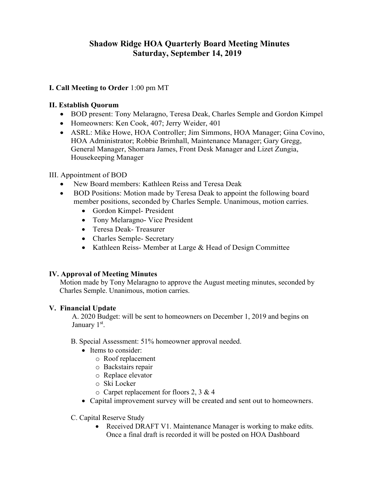# **Shadow Ridge HOA Quarterly Board Meeting Minutes Saturday, September 14, 2019**

## **I. Call Meeting to Order** 1:00 pm MT

#### **II. Establish Quorum**

- BOD present: Tony Melaragno, Teresa Deak, Charles Semple and Gordon Kimpel
- Homeowners: Ken Cook, 407; Jerry Weider, 401
- ASRL: Mike Howe, HOA Controller; Jim Simmons, HOA Manager; Gina Covino, HOA Administrator; Robbie Brimhall, Maintenance Manager; Gary Gregg, General Manager, Shomara James, Front Desk Manager and Lizet Zungia, Housekeeping Manager

## III. Appointment of BOD

- New Board members: Kathleen Reiss and Teresa Deak
- BOD Positions: Motion made by Teresa Deak to appoint the following board member positions, seconded by Charles Semple. Unanimous, motion carries.
	- Gordon Kimpel- President
	- Tony Melaragno- Vice President
	- Teresa Deak- Treasurer
	- Charles Semple- Secretary
	- Kathleen Reiss- Member at Large & Head of Design Committee

#### **IV. Approval of Meeting Minutes**

Motion made by Tony Melaragno to approve the August meeting minutes, seconded by Charles Semple. Unanimous, motion carries.

#### **V. Financial Update**

A. 2020 Budget: will be sent to homeowners on December 1, 2019 and begins on January 1<sup>st</sup>.

B. Special Assessment: 51% homeowner approval needed.

- Items to consider:
	- o Roof replacement
	- o Backstairs repair
	- o Replace elevator
	- o Ski Locker
	- o Carpet replacement for floors 2, 3 & 4
- Capital improvement survey will be created and sent out to homeowners.
- C. Capital Reserve Study
	- Received DRAFT V1. Maintenance Manager is working to make edits. Once a final draft is recorded it will be posted on HOA Dashboard